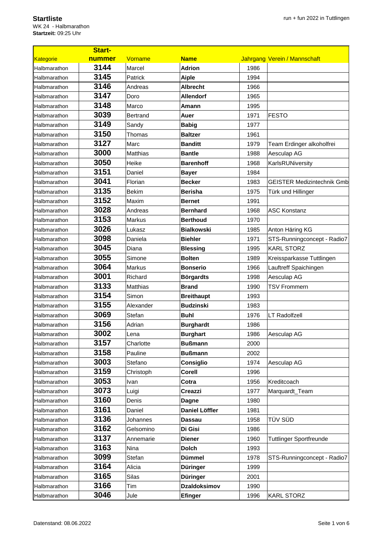## **Startliste**

WK 24 - Halbmarathon **Startzeit:** 09:25 Uhr

| <b>Start-</b>    |        |                 |                     |      |                                   |  |
|------------------|--------|-----------------|---------------------|------|-----------------------------------|--|
| <b>Kategorie</b> | nummer | Vorname         | <b>Name</b>         |      | Jahrgang Verein / Mannschaft      |  |
| Halbmarathon     | 3144   | Marcel          | <b>Adrion</b>       | 1986 |                                   |  |
| Halbmarathon     | 3145   | Patrick         | Aiple               | 1994 |                                   |  |
| Halbmarathon     | 3146   | Andreas         | <b>Albrecht</b>     | 1966 |                                   |  |
| Halbmarathon     | 3147   | Doro            | <b>Allendorf</b>    | 1965 |                                   |  |
| Halbmarathon     | 3148   | Marco           | Amann               | 1995 |                                   |  |
| Halbmarathon     | 3039   | <b>Bertrand</b> | Auer                | 1971 | <b>FESTO</b>                      |  |
| Halbmarathon     | 3149   | Sandy           | <b>Babig</b>        | 1977 |                                   |  |
| Halbmarathon     | 3150   | Thomas          | <b>Baltzer</b>      | 1961 |                                   |  |
| Halbmarathon     | 3127   | Marc            | <b>Banditt</b>      | 1979 | Team Erdinger alkoholfrei         |  |
| Halbmarathon     | 3000   | Matthias        | <b>Bantle</b>       | 1988 | Aesculap AG                       |  |
| Halbmarathon     | 3050   | Heike           | <b>Barenhoff</b>    | 1968 | KarlsRUNiversity                  |  |
| Halbmarathon     | 3151   | Daniel          | <b>Bayer</b>        | 1984 |                                   |  |
| Halbmarathon     | 3041   | Florian         | <b>Becker</b>       | 1983 | <b>GEISTER Medizintechnik Gmb</b> |  |
| Halbmarathon     | 3135   | <b>Bekim</b>    | <b>Berisha</b>      | 1975 | Türk und Hillinger                |  |
| Halbmarathon     | 3152   | Maxim           | <b>Bernet</b>       | 1991 |                                   |  |
| Halbmarathon     | 3028   | Andreas         | <b>Bernhard</b>     | 1968 | <b>ASC Konstanz</b>               |  |
| Halbmarathon     | 3153   | <b>Markus</b>   | <b>Berthoud</b>     | 1970 |                                   |  |
| Halbmarathon     | 3026   | Lukasz          | <b>Bialkowski</b>   | 1985 | Anton Häring KG                   |  |
| Halbmarathon     | 3098   | Daniela         | <b>Biehler</b>      | 1971 | STS-Runningconcept - Radio7       |  |
| Halbmarathon     | 3045   | Diana           | <b>Blessing</b>     | 1995 | <b>KARL STORZ</b>                 |  |
| Halbmarathon     | 3055   | Simone          | <b>Bolten</b>       | 1989 | Kreissparkasse Tuttlingen         |  |
| Halbmarathon     | 3064   | <b>Markus</b>   | <b>Bonserio</b>     | 1966 | Lauftreff Spaichingen             |  |
| Halbmarathon     | 3001   | Richard         | <b>Börgardts</b>    | 1998 | Aesculap AG                       |  |
| Halbmarathon     | 3133   | Matthias        | <b>Brand</b>        | 1990 | <b>TSV Frommern</b>               |  |
| Halbmarathon     | 3154   | Simon           | <b>Breithaupt</b>   | 1993 |                                   |  |
| Halbmarathon     | 3155   | Alexander       | <b>Budzinski</b>    | 1983 |                                   |  |
| Halbmarathon     | 3069   | Stefan          | <b>Buhl</b>         | 1976 | <b>LT Radolfzell</b>              |  |
| Halbmarathon     | 3156   | Adrian          | <b>Burghardt</b>    | 1986 |                                   |  |
| Halbmarathon     | 3002   | Lena            | <b>Burghart</b>     | 1986 | Aesculap AG                       |  |
| Halbmarathon     | 3157   | Charlotte       | <b>Bußmann</b>      | 2000 |                                   |  |
| Halbmarathon     | 3158   | Pauline         | <b>Bußmann</b>      | 2002 |                                   |  |
| Halbmarathon     | 3003   | Stefano         | Consiglio           | 1974 | Aesculap AG                       |  |
| Halbmarathon     | 3159   | Christoph       | Corell              | 1996 |                                   |  |
| Halbmarathon     | 3053   | Ivan            | Cotra               | 1956 | Kreditcoach                       |  |
| Halbmarathon     | 3073   | Luigi           | Creazzi             | 1977 | Marquardt_Team                    |  |
| Halbmarathon     | 3160   | Denis           | <b>Dagne</b>        | 1980 |                                   |  |
| Halbmarathon     | 3161   | Daniel          | Daniel Löffler      | 1981 |                                   |  |
| Halbmarathon     | 3136   | Johannes        | <b>Dassau</b>       | 1958 | TÜV SÜD                           |  |
| Halbmarathon     | 3162   | Gelsomino       | Di Gisi             | 1986 |                                   |  |
| Halbmarathon     | 3137   | Annemarie       | <b>Diener</b>       | 1960 | <b>Tuttlinger Sportfreunde</b>    |  |
| Halbmarathon     | 3163   | Nina            | <b>Dolch</b>        | 1993 |                                   |  |
| Halbmarathon     | 3099   | Stefan          | Dümmel              | 1978 | STS-Runningconcept - Radio7       |  |
| Halbmarathon     | 3164   | Alicia          | <b>Düringer</b>     | 1999 |                                   |  |
| Halbmarathon     | 3165   | Silas           | <b>Düringer</b>     | 2001 |                                   |  |
| Halbmarathon     | 3166   | Tim             | <b>Dzaldoksimov</b> | 1990 |                                   |  |
| Halbmarathon     | 3046   | Jule            | <b>Efinger</b>      | 1996 | <b>KARL STORZ</b>                 |  |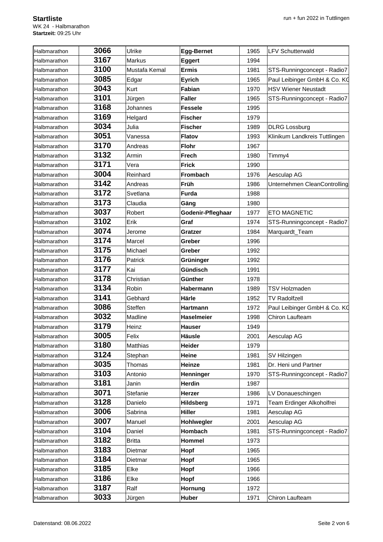| Halbmarathon | 3066 | Ulrike         | <b>Egg-Bernet</b> | 1965 | <b>LFV Schutterwald</b>       |
|--------------|------|----------------|-------------------|------|-------------------------------|
| Halbmarathon | 3167 | <b>Markus</b>  | <b>Eggert</b>     | 1994 |                               |
| Halbmarathon | 3100 | Mustafa Kemal  | <b>Ermis</b>      | 1981 | STS-Runningconcept - Radio7   |
| Halbmarathon | 3085 | Edgar          | <b>Eyrich</b>     | 1965 | Paul Leibinger GmbH & Co. KO  |
| Halbmarathon | 3043 | Kurt           | Fabian            | 1970 | <b>HSV Wiener Neustadt</b>    |
| Halbmarathon | 3101 | Jürgen         | <b>Faller</b>     | 1965 | STS-Runningconcept - Radio7   |
| Halbmarathon | 3168 | Johannes       | <b>Fessele</b>    | 1995 |                               |
| Halbmarathon | 3169 | Helgard        | <b>Fischer</b>    | 1979 |                               |
| Halbmarathon | 3034 | Julia          | <b>Fischer</b>    | 1989 | <b>DLRG</b> Lossburg          |
| Halbmarathon | 3051 | Vanessa        | <b>Flatov</b>     | 1993 | Klinikum Landkreis Tuttlingen |
| Halbmarathon | 3170 | Andreas        | <b>Flohr</b>      | 1967 |                               |
| Halbmarathon | 3132 | Armin          | <b>Frech</b>      | 1980 | Timmy4                        |
| Halbmarathon | 3171 | Vera           | <b>Frick</b>      | 1990 |                               |
| Halbmarathon | 3004 | Reinhard       | <b>Frombach</b>   | 1976 | Aesculap AG                   |
| Halbmarathon | 3142 | Andreas        | Früh              | 1986 | Unternehmen CleanControlling  |
| Halbmarathon | 3172 | Svetlana       | <b>Furda</b>      | 1988 |                               |
| Halbmarathon | 3173 | Claudia        | Gäng              | 1980 |                               |
| Halbmarathon | 3037 | Robert         | Godenir-Pfleghaar | 1977 | <b>ETO MAGNETIC</b>           |
| Halbmarathon | 3102 | Erik           | Graf              | 1974 | STS-Runningconcept - Radio7   |
| Halbmarathon | 3074 | Jerome         | Gratzer           | 1984 | Marquardt_Team                |
| Halbmarathon | 3174 | Marcel         | Greber            | 1996 |                               |
| Halbmarathon | 3175 | Michael        | Greber            | 1992 |                               |
| Halbmarathon | 3176 | Patrick        | Grüninger         | 1992 |                               |
| Halbmarathon | 3177 | Kai            | Gündisch          | 1991 |                               |
| Halbmarathon | 3178 | Christian      | Günther           | 1978 |                               |
| Halbmarathon | 3134 | Robin          | Habermann         | 1989 | <b>TSV Holzmaden</b>          |
| Halbmarathon | 3141 | Gebhard        | Härle             | 1952 | <b>TV Radolfzell</b>          |
| Halbmarathon | 3086 | <b>Steffen</b> | <b>Hartmann</b>   | 1972 | Paul Leibinger GmbH & Co. KQ  |
| Halbmarathon | 3032 | Madline        | <b>Haselmeier</b> | 1998 | Chiron Laufteam               |
| Halbmarathon | 3179 | Heinz          | <b>Hauser</b>     | 1949 |                               |
| Halbmarathon | 3005 | Felix          | <b>Häusle</b>     | 2001 | Aesculap AG                   |
| Halbmarathon | 3180 | Matthias       | Heider            | 1979 |                               |
| Halbmarathon | 3124 | Stephan        | <b>Heine</b>      | 1981 | SV Hilzingen                  |
| Halbmarathon | 3035 | Thomas         | Heinze            | 1981 | Dr. Heni und Partner          |
| Halbmarathon | 3103 | Antonio        | Henninger         | 1970 | STS-Runningconcept - Radio7   |
| Halbmarathon | 3181 | Janin          | Herdin            | 1987 |                               |
| Halbmarathon | 3071 | Stefanie       | Herzer            | 1986 | LV Donaueschingen             |
| Halbmarathon | 3128 | Danielo        | Hildsberg         | 1971 | Team Erdinger Alkoholfrei     |
| Halbmarathon | 3006 | Sabrina        | <b>Hiller</b>     | 1981 | Aesculap AG                   |
| Halbmarathon | 3007 | Manuel         | Hohlwegler        | 2001 | Aesculap AG                   |
| Halbmarathon | 3104 | Daniel         | Hombach           | 1981 | STS-Runningconcept - Radio7   |
| Halbmarathon | 3182 | <b>Britta</b>  | <b>Hommel</b>     | 1973 |                               |
| Halbmarathon | 3183 | Dietmar        | Hopf              | 1965 |                               |
| Halbmarathon | 3184 | Dietmar        | Hopf              | 1965 |                               |
| Halbmarathon | 3185 | Elke           | Hopf              | 1966 |                               |
| Halbmarathon | 3186 | Elke           | Hopf              | 1966 |                               |
| Halbmarathon | 3187 | Ralf           | Hornung           | 1972 |                               |
| Halbmarathon | 3033 | Jürgen         | Huber             | 1971 | Chiron Laufteam               |
|              |      |                |                   |      |                               |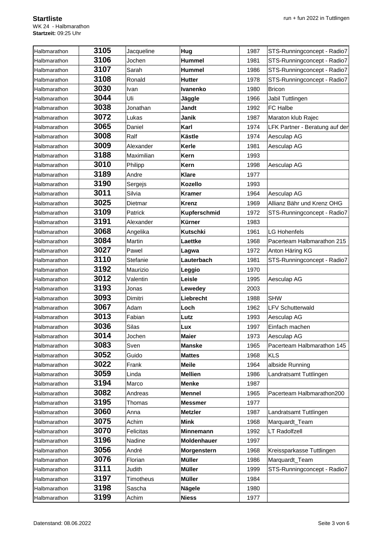| Halbmarathon | 3105 | Jacqueline       | Hug              | 1987 | STS-Runningconcept - Radio7    |  |  |
|--------------|------|------------------|------------------|------|--------------------------------|--|--|
| Halbmarathon | 3106 | Jochen           | <b>Hummel</b>    | 1981 | STS-Runningconcept - Radio7    |  |  |
| Halbmarathon | 3107 | Sarah            | <b>Hummel</b>    | 1986 | STS-Runningconcept - Radio7    |  |  |
| Halbmarathon | 3108 | Ronald           | Hutter           | 1978 | STS-Runningconcept - Radio7    |  |  |
| Halbmarathon | 3030 | Ivan             | Ivanenko         | 1980 | <b>Bricon</b>                  |  |  |
| Halbmarathon | 3044 | Uli              | Jäggle           | 1966 | Jabil Tuttlingen               |  |  |
| Halbmarathon | 3038 | Jonathan         | <b>Jandt</b>     | 1992 | FC Halbe                       |  |  |
| Halbmarathon | 3072 | Lukas            | Janik            | 1987 | Maraton klub Rajec             |  |  |
| Halbmarathon | 3065 | Daniel           | Karl             | 1974 | LFK Partner - Beratung auf der |  |  |
| Halbmarathon | 3008 | Ralf             | <b>Kästle</b>    | 1974 | Aesculap AG                    |  |  |
| Halbmarathon | 3009 | Alexander        | Kerle            | 1981 | Aesculap AG                    |  |  |
| Halbmarathon | 3188 | Maximilian       | <b>Kern</b>      | 1993 |                                |  |  |
| Halbmarathon | 3010 | Philipp          | <b>Kern</b>      | 1998 | Aesculap AG                    |  |  |
| Halbmarathon | 3189 | Andre            | <b>Klare</b>     | 1977 |                                |  |  |
| Halbmarathon | 3190 | Sergejs          | <b>Kozello</b>   | 1993 |                                |  |  |
| Halbmarathon | 3011 | Silvia           | <b>Kramer</b>    | 1964 | Aesculap AG                    |  |  |
| Halbmarathon | 3025 | Dietmar          | <b>Krenz</b>     | 1969 | Allianz Bähr und Krenz OHG     |  |  |
| Halbmarathon | 3109 | Patrick          | Kupferschmid     | 1972 | STS-Runningconcept - Radio7    |  |  |
| Halbmarathon | 3191 | Alexander        | <b>Kürner</b>    | 1983 |                                |  |  |
| Halbmarathon | 3068 | Angelika         | <b>Kutschki</b>  | 1961 | <b>LG Hohenfels</b>            |  |  |
| Halbmarathon | 3084 | Martin           | Laettke          | 1968 | Pacerteam Halbmarathon 215     |  |  |
| Halbmarathon | 3027 | Pawel            | Lagwa            | 1972 | Anton Häring KG                |  |  |
| Halbmarathon | 3110 | Stefanie         | Lauterbach       | 1981 | STS-Runningconcept - Radio7    |  |  |
| Halbmarathon | 3192 | Maurizio         | Leggio           | 1970 |                                |  |  |
| Halbmarathon | 3012 | Valentin         | Leisle           | 1995 | Aesculap AG                    |  |  |
| Halbmarathon | 3193 | Jonas            | Lewedey          | 2003 |                                |  |  |
| Halbmarathon | 3093 | Dimitri          | Liebrecht        | 1988 | <b>SHW</b>                     |  |  |
| Halbmarathon | 3067 | Adam             | Loch             | 1962 | <b>LFV Schutterwald</b>        |  |  |
| Halbmarathon | 3013 | Fabian           | Lutz             | 1993 | Aesculap AG                    |  |  |
| Halbmarathon | 3036 | Silas            | Lux              | 1997 | Einfach machen                 |  |  |
| Halbmarathon | 3014 | Jochen           | <b>Maier</b>     | 1973 | Aesculap AG                    |  |  |
| Halbmarathon | 3083 | Sven             | <b>Manske</b>    | 1965 | Pacerteam Halbmarathon 145     |  |  |
| Halbmarathon | 3052 | Guido            | <b>Mattes</b>    | 1968 | <b>KLS</b>                     |  |  |
| Halbmarathon | 3022 | Frank            | <b>Meile</b>     | 1964 | albside Running                |  |  |
| Halbmarathon | 3059 | Linda            | <b>Mellien</b>   | 1986 | Landratsamt Tuttlingen         |  |  |
| Halbmarathon | 3194 | Marco            | <b>Menke</b>     | 1987 |                                |  |  |
| Halbmarathon | 3082 | Andreas          | <b>Mennel</b>    | 1965 | Pacerteam Halbmarathon200      |  |  |
| Halbmarathon | 3195 | Thomas           | <b>Messmer</b>   | 1977 |                                |  |  |
| Halbmarathon | 3060 | Anna             | <b>Metzler</b>   | 1987 | Landratsamt Tuttlingen         |  |  |
| Halbmarathon | 3075 | Achim            | Mink             | 1968 | Marquardt_Team                 |  |  |
| Halbmarathon | 3070 | Felicitas        | <b>Minnemann</b> | 1992 | <b>LT Radolfzell</b>           |  |  |
| Halbmarathon | 3196 | Nadine           | Moldenhauer      | 1997 |                                |  |  |
| Halbmarathon | 3056 | André            | Morgenstern      | 1968 | Kreissparkasse Tuttlingen      |  |  |
| Halbmarathon | 3076 | Florian          | <b>Müller</b>    | 1986 | Marquardt_Team                 |  |  |
| Halbmarathon | 3111 | Judith           | <b>Müller</b>    | 1999 | STS-Runningconcept - Radio7    |  |  |
| Halbmarathon | 3197 | <b>Timotheus</b> | <b>Müller</b>    | 1984 |                                |  |  |
| Halbmarathon | 3198 | Sascha           | <b>Nägele</b>    | 1980 |                                |  |  |
| Halbmarathon | 3199 | Achim            | <b>Niess</b>     | 1977 |                                |  |  |
|              |      |                  |                  |      |                                |  |  |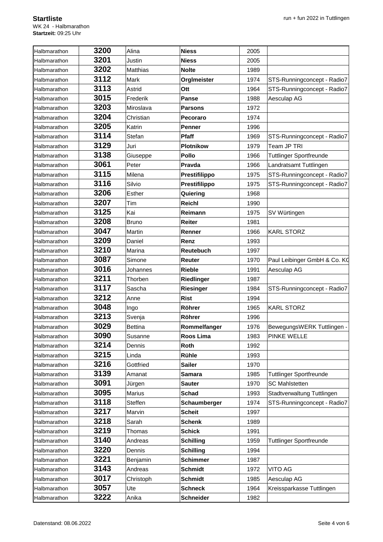| Halbmarathon | 3200 | Alina           | <b>Niess</b>     | 2005 |                                |
|--------------|------|-----------------|------------------|------|--------------------------------|
| Halbmarathon | 3201 | Justin          | <b>Niess</b>     | 2005 |                                |
| Halbmarathon | 3202 | <b>Matthias</b> | <b>Nolte</b>     | 1989 |                                |
| Halbmarathon | 3112 | Mark            | OrgImeister      | 1974 | STS-Runningconcept - Radio7    |
| Halbmarathon | 3113 | Astrid          | Ott              | 1964 | STS-Runningconcept - Radio7    |
| Halbmarathon | 3015 | Frederik        | <b>Panse</b>     | 1988 | Aesculap AG                    |
| Halbmarathon | 3203 | Miroslava       | <b>Parsons</b>   | 1972 |                                |
| Halbmarathon | 3204 | Christian       | Pecoraro         | 1974 |                                |
| Halbmarathon | 3205 | Katrin          | <b>Penner</b>    | 1996 |                                |
| Halbmarathon | 3114 | Stefan          | Pfaff            | 1969 | STS-Runningconcept - Radio7    |
| Halbmarathon | 3129 | Juri            | <b>Plotnikow</b> | 1979 | Team JP TRI                    |
| Halbmarathon | 3138 | Giuseppe        | <b>Pollo</b>     | 1966 | <b>Tuttlinger Sportfreunde</b> |
| Halbmarathon | 3061 | Peter           | Pravda           | 1966 | Landratsamt Tuttlingen         |
| Halbmarathon | 3115 | Milena          | Prestifilippo    | 1975 | STS-Runningconcept - Radio7    |
| Halbmarathon | 3116 | Silvio          | Prestifilippo    | 1975 | STS-Runningconcept - Radio7    |
| Halbmarathon | 3206 | <b>Esther</b>   | Quiering         | 1968 |                                |
| Halbmarathon | 3207 | Tim             | <b>Reichl</b>    | 1990 |                                |
| Halbmarathon | 3125 | Kai             | Reimann          | 1975 | SV Würtingen                   |
| Halbmarathon | 3208 | Bruno           | <b>Reiter</b>    | 1981 |                                |
| Halbmarathon | 3047 | Martin          | Renner           | 1966 | <b>KARL STORZ</b>              |
| Halbmarathon | 3209 | Daniel          | Renz             | 1993 |                                |
| Halbmarathon | 3210 | Marina          | Reutebuch        | 1997 |                                |
| Halbmarathon | 3087 | Simone          | Reuter           | 1970 | Paul Leibinger GmbH & Co. KO   |
| Halbmarathon | 3016 | Johannes        | <b>Rieble</b>    | 1991 | Aesculap AG                    |
| Halbmarathon | 3211 | Thorben         | Riedlinger       | 1987 |                                |
| Halbmarathon | 3117 | Sascha          | Riesinger        | 1984 | STS-Runningconcept - Radio7    |
| Halbmarathon | 3212 | Anne            | <b>Rist</b>      | 1994 |                                |
| Halbmarathon | 3048 | Ingo            | Röhrer           | 1965 | <b>KARL STORZ</b>              |
| Halbmarathon | 3213 | Svenja          | <b>Röhrer</b>    | 1996 |                                |
| Halbmarathon | 3029 | <b>Bettina</b>  | Rommelfanger     | 1976 | BewegungsWERK Tuttlingen -     |
| Halbmarathon | 3090 | Susanne         | Roos Lima        | 1983 | <b>PINKE WELLE</b>             |
| Halbmarathon | 3214 | Dennis          | Roth             | 1992 |                                |
| Halbmarathon | 3215 | Linda           | Rühle            | 1993 |                                |
| Halbmarathon | 3216 | Gottfried       | <b>Sailer</b>    | 1970 |                                |
| Halbmarathon | 3139 | Amanat          | <b>Samara</b>    | 1985 | <b>Tuttlinger Sportfreunde</b> |
| Halbmarathon | 3091 | Jürgen          | <b>Sauter</b>    | 1970 | <b>SC Mahlstetten</b>          |
| Halbmarathon | 3095 | Marius          | Schad            | 1993 | Stadtverwaltung Tuttlingen     |
| Halbmarathon | 3118 | Steffen         | Schaumberger     | 1974 | STS-Runningconcept - Radio7    |
| Halbmarathon | 3217 | Marvin          | <b>Scheit</b>    | 1997 |                                |
| Halbmarathon | 3218 | Sarah           | <b>Schenk</b>    | 1989 |                                |
| Halbmarathon | 3219 | Thomas          | <b>Schick</b>    | 1991 |                                |
| Halbmarathon | 3140 | Andreas         | <b>Schilling</b> | 1959 | <b>Tuttlinger Sportfreunde</b> |
| Halbmarathon | 3220 | Dennis          | <b>Schilling</b> | 1994 |                                |
| Halbmarathon | 3221 | Benjamin        | <b>Schimmer</b>  | 1987 |                                |
| Halbmarathon | 3143 | Andreas         | <b>Schmidt</b>   | 1972 | VITO AG                        |
| Halbmarathon | 3017 | Christoph       | <b>Schmidt</b>   | 1985 | Aesculap AG                    |
| Halbmarathon | 3057 | Ute             | <b>Schneck</b>   | 1964 | Kreissparkasse Tuttlingen      |
| Halbmarathon | 3222 | Anika           | <b>Schneider</b> | 1982 |                                |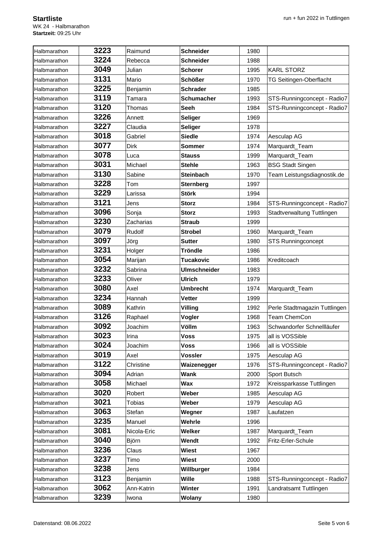| Halbmarathon | 3223 | Raimund       | <b>Schneider</b>    | 1980 |                               |
|--------------|------|---------------|---------------------|------|-------------------------------|
| Halbmarathon | 3224 | Rebecca       | <b>Schneider</b>    | 1988 |                               |
| Halbmarathon | 3049 | Julian        | <b>Schorer</b>      | 1995 | <b>KARL STORZ</b>             |
| Halbmarathon | 3131 | Mario         | <b>Schößer</b>      | 1970 | TG Seitingen-Oberflacht       |
| Halbmarathon | 3225 | Benjamin      | <b>Schrader</b>     | 1985 |                               |
| Halbmarathon | 3119 | Tamara        | <b>Schumacher</b>   | 1993 | STS-Runningconcept - Radio7   |
| Halbmarathon | 3120 | Thomas        | <b>Seeh</b>         | 1984 | STS-Runningconcept - Radio7   |
| Halbmarathon | 3226 | Annett        | <b>Seliger</b>      | 1969 |                               |
| Halbmarathon | 3227 | Claudia       | <b>Seliger</b>      | 1978 |                               |
| Halbmarathon | 3018 | Gabriel       | <b>Siedle</b>       | 1974 | Aesculap AG                   |
| Halbmarathon | 3077 | Dirk          | <b>Sommer</b>       | 1974 | Marquardt_Team                |
| Halbmarathon | 3078 | Luca          | Stauss              | 1999 | Marquardt_Team                |
| Halbmarathon | 3031 | Michael       | <b>Stehle</b>       | 1963 | <b>BSG Stadt Singen</b>       |
| Halbmarathon | 3130 | Sabine        | <b>Steinbach</b>    | 1970 | Team Leistungsdiagnostik.de   |
| Halbmarathon | 3228 | Tom           | <b>Sternberg</b>    | 1997 |                               |
| Halbmarathon | 3229 | Larissa       | <b>Störk</b>        | 1994 |                               |
| Halbmarathon | 3121 | Jens          | <b>Storz</b>        | 1984 | STS-Runningconcept - Radio7   |
| Halbmarathon | 3096 | Sonja         | <b>Storz</b>        | 1993 | Stadtverwaltung Tuttlingen    |
| Halbmarathon | 3230 | Zacharias     | <b>Straub</b>       | 1999 |                               |
| Halbmarathon | 3079 | Rudolf        | <b>Strobel</b>      | 1960 | Marquardt_Team                |
| Halbmarathon | 3097 | Jörg          | Sutter              | 1980 | STS Runningconcept            |
| Halbmarathon | 3231 | Holger        | <b>Tröndle</b>      | 1986 |                               |
| Halbmarathon | 3054 | Marijan       | <b>Tucakovic</b>    | 1986 | Kreditcoach                   |
| Halbmarathon | 3232 | Sabrina       | <b>Ulmschneider</b> | 1983 |                               |
| Halbmarathon | 3233 | Oliver        | <b>Ulrich</b>       | 1979 |                               |
| Halbmarathon | 3080 | Axel          | <b>Umbrecht</b>     | 1974 | Marquardt_Team                |
| Halbmarathon | 3234 | Hannah        | <b>Vetter</b>       | 1999 |                               |
| Halbmarathon | 3089 | Kathrin       | Villing             | 1992 | Perle Stadtmagazin Tuttlingen |
| Halbmarathon | 3126 | Raphael       | Vogler              | 1968 | Team ChemCon                  |
| Halbmarathon | 3092 | Joachim       | Völlm               | 1963 | Schwandorfer Schnellläufer    |
| Halbmarathon | 3023 | Irina         | <b>Voss</b>         | 1975 | all is VOSSible               |
| Halbmarathon | 3024 | Joachim       | Voss                | 1966 | all is VOSSible               |
| Halbmarathon | 3019 | Axel          | <b>Vossler</b>      | 1975 | Aesculap AG                   |
| Halbmarathon | 3122 | Christine     | Waizenegger         | 1976 | STS-Runningconcept - Radio7   |
| Halbmarathon | 3094 | Adrian        | Wank                | 2000 | Sport Butsch                  |
| Halbmarathon | 3058 | Michael       | Wax                 | 1972 | Kreissparkasse Tuttlingen     |
| Halbmarathon | 3020 | Robert        | Weber               | 1985 | Aesculap AG                   |
| Halbmarathon | 3021 | <b>Tobias</b> | Weber               | 1979 | Aesculap AG                   |
| Halbmarathon | 3063 | Stefan        | Wegner              | 1987 | Laufatzen                     |
| Halbmarathon | 3235 | Manuel        | Wehrle              | 1996 |                               |
| Halbmarathon | 3081 | Nicola-Eric   | Welker              | 1987 | Marquardt_Team                |
| Halbmarathon | 3040 | Björn         | Wendt               | 1992 | Fritz-Erler-Schule            |
| Halbmarathon | 3236 | Claus         | <b>Wiest</b>        | 1967 |                               |
| Halbmarathon | 3237 | Timo          | <b>Wiest</b>        | 2000 |                               |
| Halbmarathon | 3238 | Jens          | Willburger          | 1984 |                               |
| Halbmarathon | 3123 | Benjamin      | <b>Wille</b>        | 1988 | STS-Runningconcept - Radio7   |
| Halbmarathon | 3062 | Ann-Katrin    | Winter              | 1991 | Landratsamt Tuttlingen        |
| Halbmarathon | 3239 | Iwona         | Wolany              | 1980 |                               |